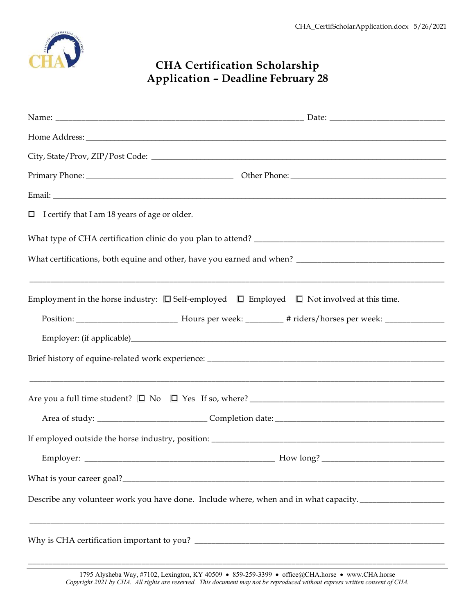

## **CHA Certification Scholarship Application – Deadline February 28**

| $\Box$ I certify that I am 18 years of age or older.                                                              |  |
|-------------------------------------------------------------------------------------------------------------------|--|
|                                                                                                                   |  |
|                                                                                                                   |  |
| Employment in the horse industry: $\square$ Self-employed $\square$ Employed $\square$ Not involved at this time. |  |
|                                                                                                                   |  |
|                                                                                                                   |  |
|                                                                                                                   |  |
|                                                                                                                   |  |
|                                                                                                                   |  |
|                                                                                                                   |  |
|                                                                                                                   |  |
| Describe any volunteer work you have done. Include where, when and in what capacity. ________________________     |  |
|                                                                                                                   |  |

\_\_\_\_\_\_\_\_\_\_\_\_\_\_\_\_\_\_\_\_\_\_\_\_\_\_\_\_\_\_\_\_\_\_\_\_\_\_\_\_\_\_\_\_\_\_\_\_\_\_\_\_\_\_\_\_\_\_\_\_\_\_\_\_\_\_\_\_\_\_\_\_\_\_\_\_\_\_\_\_\_\_\_\_\_\_\_\_\_\_\_\_\_\_\_\_\_\_\_\_\_\_\_